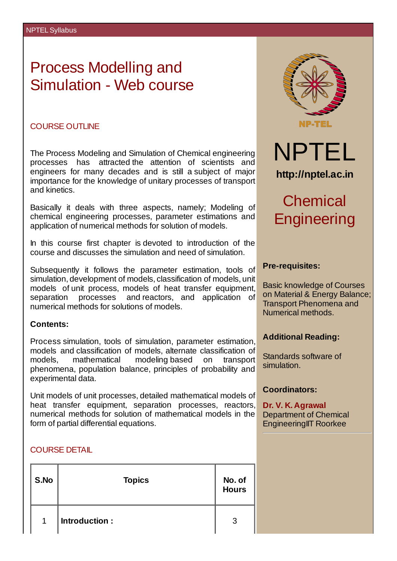# Process Modelling and Simulation - Web course

#### COURSE OUTLINE

The Process Modeling and Simulation of Chemical engineering processes has attracted the attention of scientists and engineers for many decades and is still a subject of major importance for the knowledge of unitary processes of transport and kinetics.

Basically it deals with three aspects, namely; Modeling of chemical engineering processes, parameter estimations and application of numerical methods for solution of models.

In this course first chapter is devoted to introduction of the course and discusses the simulation and need of simulation.

Subsequently it follows the parameter estimation, tools of simulation, development of models, classification of models, unit models of unit process, models of heat transfer equipment, separation processes and reactors, and application of numerical methods for solutions of models.

#### **Contents:**

Process simulation, tools of simulation, parameter estimation, models and classification of models, alternate classification of models, mathematical modeling based on transport phenomena, population balance, principles of probability and experimental data.

Unit models of unit processes, detailed mathematical models of heat transfer equipment, separation processes, reactors, numerical methods for solution of mathematical models in the form of partial differential equations.

## COURSE DETAIL

| S.No         | <b>Topics</b> | No. of<br><b>Hours</b> |
|--------------|---------------|------------------------|
| $\mathbf{1}$ | Introduction: | 3                      |



## **Pre-requisites:**

Basic knowledge of Courses on Material & Energy Balance; Transport Phenomena and Numerical methods.

#### **Additional Reading:**

Standards software of simulation.

## **Coordinators:**

**Dr. V. K. Agrawal** Department of Chemical EngineeringIIT Roorkee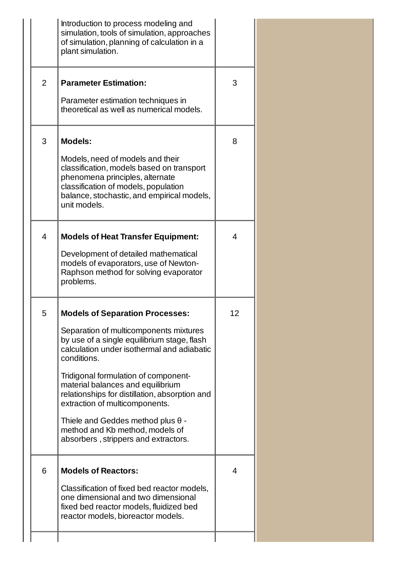|                | Introduction to process modeling and<br>simulation, tools of simulation, approaches<br>of simulation, planning of calculation in a<br>plant simulation.                                                                                                                                                                                                                                                                                                                              |                |  |
|----------------|--------------------------------------------------------------------------------------------------------------------------------------------------------------------------------------------------------------------------------------------------------------------------------------------------------------------------------------------------------------------------------------------------------------------------------------------------------------------------------------|----------------|--|
| $\overline{2}$ | <b>Parameter Estimation:</b><br>Parameter estimation techniques in<br>theoretical as well as numerical models.                                                                                                                                                                                                                                                                                                                                                                       | 3              |  |
| 3              | <b>Models:</b><br>Models, need of models and their<br>classification, models based on transport<br>phenomena principles, alternate<br>classification of models, population<br>balance, stochastic, and empirical models,<br>unit models.                                                                                                                                                                                                                                             | 8              |  |
| $\overline{4}$ | <b>Models of Heat Transfer Equipment:</b><br>Development of detailed mathematical<br>models of evaporators, use of Newton-<br>Raphson method for solving evaporator<br>problems.                                                                                                                                                                                                                                                                                                     | $\overline{4}$ |  |
| 5              | <b>Models of Separation Processes:</b><br>Separation of multicomponents mixtures<br>by use of a single equilibrium stage, flash<br>calculation under isothermal and adiabatic<br>conditions.<br>Tridigonal formulation of component-<br>material balances and equilibrium<br>relationships for distillation, absorption and<br>extraction of multicomponents.<br>Thiele and Geddes method plus $\theta$ -<br>method and Kb method, models of<br>absorbers, strippers and extractors. | 12             |  |
| 6              | <b>Models of Reactors:</b><br>Classification of fixed bed reactor models,<br>one dimensional and two dimensional<br>fixed bed reactor models, fluidized bed<br>reactor models, bioreactor models.                                                                                                                                                                                                                                                                                    | 4              |  |
|                |                                                                                                                                                                                                                                                                                                                                                                                                                                                                                      |                |  |